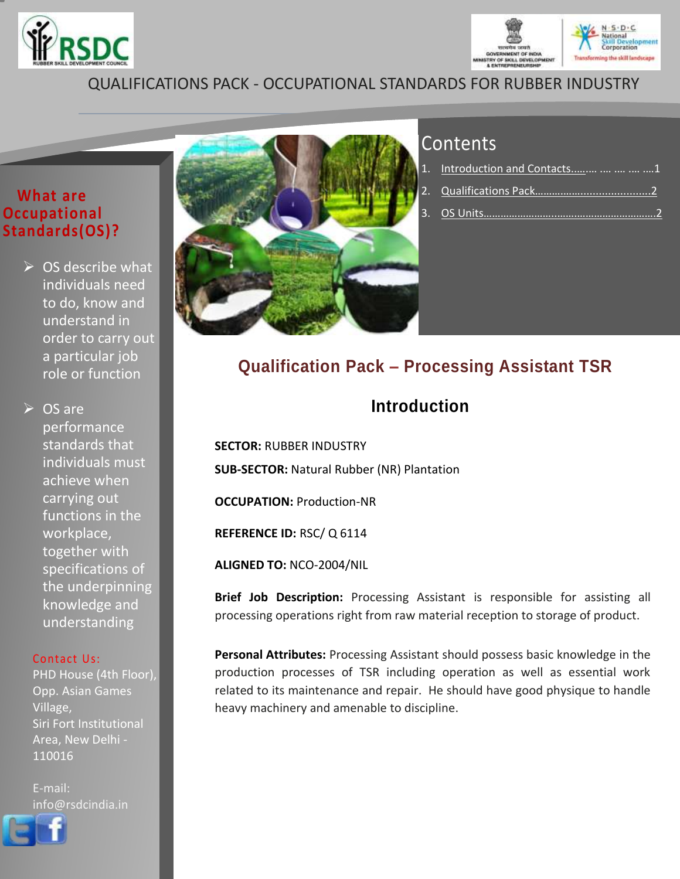



# QUALIFICATIONS PACK - OCCUPATIONAL STANDARDS FOR RUBBER INDUSTRY

### **What are Occupational Standards(OS)?**

 $\triangleright$  OS describe what individuals need to do, know and understand in order to carry out a particular job role or function

**► OS are** performance standards that individuals must achieve when carrying out functions in the workplace, together with specifications of the underpinning knowledge and understanding

#### Contact Us:

PHD House (4th Floor), Opp. Asian Games Village, Siri Fort Institutional Area, New Delhi - 110016

E-mail: info@rsdcindia.in





# **Contents**

| 1. Introduction and Contacts     1 |  |
|------------------------------------|--|
|                                    |  |
| 3.  OS Units………………………………………………………2 |  |

# <span id="page-0-0"></span>**Qualification Pack – Processing Assistant TSR**

# **Introduction**

**SECTOR:** RUBBER INDUSTRY **SUB-SECTOR:** Natural Rubber (NR) Plantation

**OCCUPATION:** Production-NR

**REFERENCE ID:** RSC/ Q 6114

**ALIGNED TO:** NCO-2004/NIL

**Brief Job Description:** Processing Assistant is responsible for assisting all processing operations right from raw material reception to storage of product.

**Personal Attributes:** Processing Assistant should possess basic knowledge in the production processes of TSR including operation as well as essential work related to its maintenance and repair. He should have good physique to handle heavy machinery and amenable to discipline.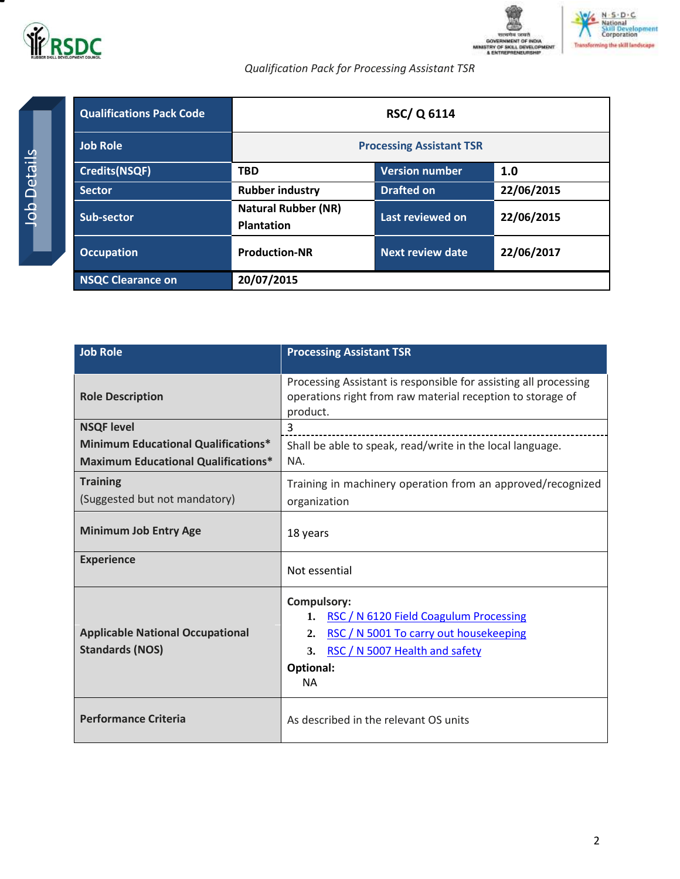



*Qualification Pack for Processing Assistant TSR*

<span id="page-1-0"></span>

| <b>Qualifications Pack Code</b> | <b>RSC/Q 6114</b>                               |                       |            |
|---------------------------------|-------------------------------------------------|-----------------------|------------|
| <b>Job Role</b>                 | <b>Processing Assistant TSR</b>                 |                       |            |
| <b>Credits(NSQF)</b>            | <b>TBD</b>                                      | <b>Version number</b> | 1.0        |
| <b>Sector</b>                   | <b>Rubber industry</b>                          | <b>Drafted on</b>     | 22/06/2015 |
| Sub-sector                      | <b>Natural Rubber (NR)</b><br><b>Plantation</b> | Last reviewed on      | 22/06/2015 |
| <b>Occupation</b>               | <b>Production-NR</b>                            | Next review date      | 22/06/2017 |
| <b>NSQC Clearance on</b>        | 20/07/2015                                      |                       |            |

| <b>Job Role</b>                                                                          | <b>Processing Assistant TSR</b>                                                                                                                                                   |
|------------------------------------------------------------------------------------------|-----------------------------------------------------------------------------------------------------------------------------------------------------------------------------------|
| <b>Role Description</b>                                                                  | Processing Assistant is responsible for assisting all processing<br>operations right from raw material reception to storage of<br>product.                                        |
| <b>NSQF level</b>                                                                        | 3                                                                                                                                                                                 |
| <b>Minimum Educational Qualifications*</b><br><b>Maximum Educational Qualifications*</b> | Shall be able to speak, read/write in the local language.<br>NA.                                                                                                                  |
| <b>Training</b><br>(Suggested but not mandatory)                                         | Training in machinery operation from an approved/recognized<br>organization                                                                                                       |
| <b>Minimum Job Entry Age</b>                                                             | 18 years                                                                                                                                                                          |
| <b>Experience</b>                                                                        | Not essential                                                                                                                                                                     |
| <b>Applicable National Occupational</b><br><b>Standards (NOS)</b>                        | <b>Compulsory:</b><br>1. RSC / N 6120 Field Coagulum Processing<br>RSC / N 5001 To carry out housekeeping<br>2.<br>RSC / N 5007 Health and safety<br>3.<br>Optional:<br><b>NA</b> |
| <b>Performance Criteria</b>                                                              | As described in the relevant OS units                                                                                                                                             |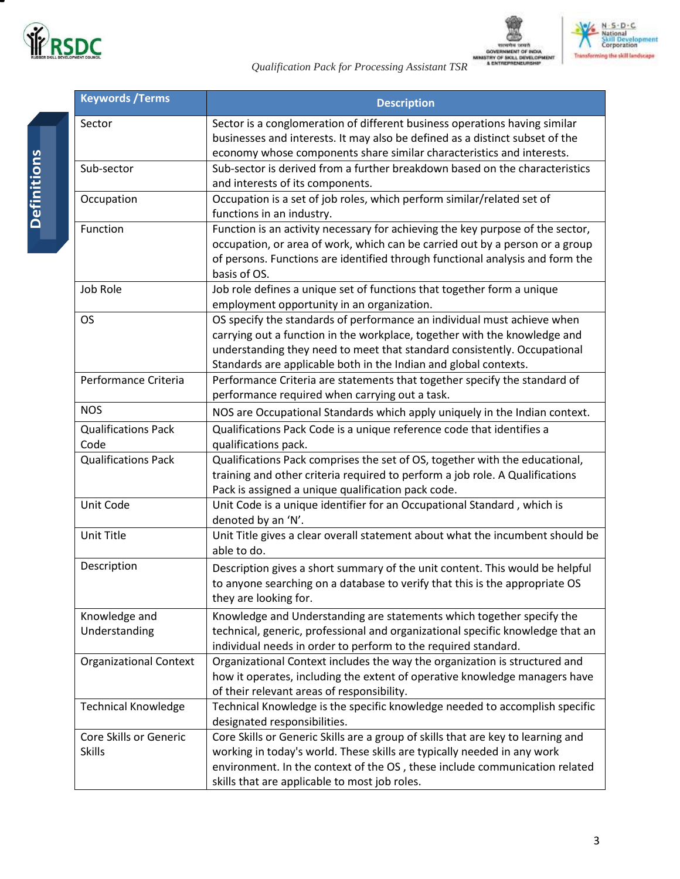

*Qualification Pack for Processing Assistant TSR*





| <b>Keywords / Terms</b>                 | <b>Description</b>                                                                                                                                                                                                                                                                                   |
|-----------------------------------------|------------------------------------------------------------------------------------------------------------------------------------------------------------------------------------------------------------------------------------------------------------------------------------------------------|
| Sector                                  | Sector is a conglomeration of different business operations having similar<br>businesses and interests. It may also be defined as a distinct subset of the<br>economy whose components share similar characteristics and interests.                                                                  |
| Sub-sector                              | Sub-sector is derived from a further breakdown based on the characteristics<br>and interests of its components.                                                                                                                                                                                      |
| Occupation                              | Occupation is a set of job roles, which perform similar/related set of<br>functions in an industry.                                                                                                                                                                                                  |
| Function                                | Function is an activity necessary for achieving the key purpose of the sector,<br>occupation, or area of work, which can be carried out by a person or a group<br>of persons. Functions are identified through functional analysis and form the<br>basis of OS.                                      |
| Job Role                                | Job role defines a unique set of functions that together form a unique<br>employment opportunity in an organization.                                                                                                                                                                                 |
| <b>OS</b>                               | OS specify the standards of performance an individual must achieve when<br>carrying out a function in the workplace, together with the knowledge and<br>understanding they need to meet that standard consistently. Occupational<br>Standards are applicable both in the Indian and global contexts. |
| Performance Criteria                    | Performance Criteria are statements that together specify the standard of<br>performance required when carrying out a task.                                                                                                                                                                          |
| <b>NOS</b>                              | NOS are Occupational Standards which apply uniquely in the Indian context.                                                                                                                                                                                                                           |
| <b>Qualifications Pack</b><br>Code      | Qualifications Pack Code is a unique reference code that identifies a<br>qualifications pack.                                                                                                                                                                                                        |
| <b>Qualifications Pack</b>              | Qualifications Pack comprises the set of OS, together with the educational,<br>training and other criteria required to perform a job role. A Qualifications<br>Pack is assigned a unique qualification pack code.                                                                                    |
| Unit Code                               | Unit Code is a unique identifier for an Occupational Standard, which is<br>denoted by an 'N'.                                                                                                                                                                                                        |
| Unit Title                              | Unit Title gives a clear overall statement about what the incumbent should be<br>able to do.                                                                                                                                                                                                         |
| Description                             | Description gives a short summary of the unit content. This would be helpful<br>to anyone searching on a database to verify that this is the appropriate OS<br>they are looking for.                                                                                                                 |
| Knowledge and<br>Understanding          | Knowledge and Understanding are statements which together specify the<br>technical, generic, professional and organizational specific knowledge that an<br>individual needs in order to perform to the required standard.                                                                            |
| <b>Organizational Context</b>           | Organizational Context includes the way the organization is structured and<br>how it operates, including the extent of operative knowledge managers have<br>of their relevant areas of responsibility.                                                                                               |
| <b>Technical Knowledge</b>              | Technical Knowledge is the specific knowledge needed to accomplish specific<br>designated responsibilities.                                                                                                                                                                                          |
| Core Skills or Generic<br><b>Skills</b> | Core Skills or Generic Skills are a group of skills that are key to learning and<br>working in today's world. These skills are typically needed in any work<br>environment. In the context of the OS, these include communication related<br>skills that are applicable to most job roles.           |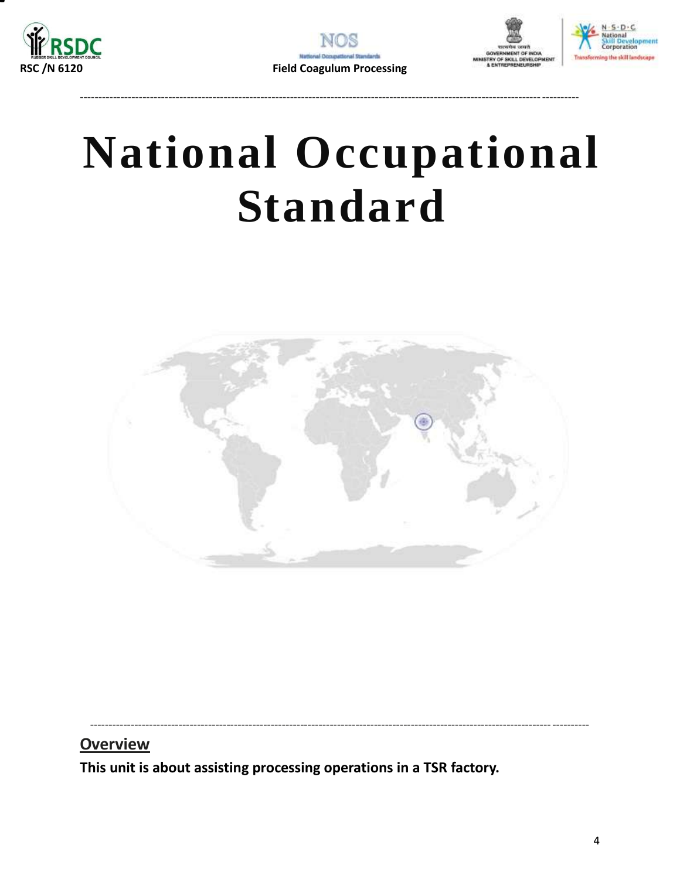



---------------------------------------------------------------------------------------------------------------------------------------



# **National Occupational Standard**

<span id="page-3-0"></span>

---------------------------------------------------------------------------------------------------------------------------------------

**Overview** 

**This unit is about assisting processing operations in a TSR factory.**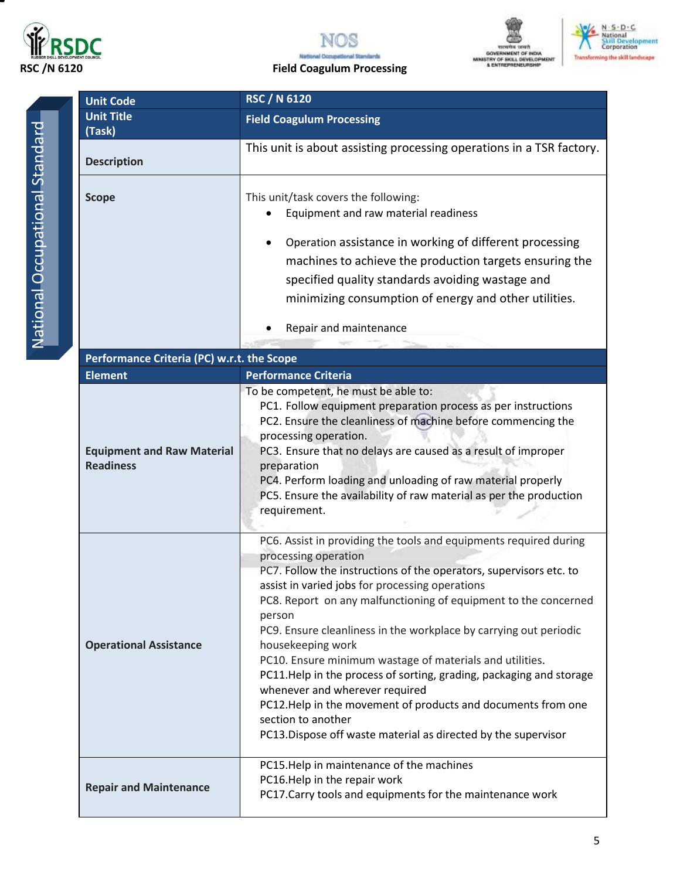



### **RSC /N 6120 Field Coagulum Processing**





National Occupational Standard National Occupational Standard

| <b>Unit Code</b>                           | <b>RSC / N 6120</b>                                                                                                                                                                                                                                                                                                                                                 |  |  |
|--------------------------------------------|---------------------------------------------------------------------------------------------------------------------------------------------------------------------------------------------------------------------------------------------------------------------------------------------------------------------------------------------------------------------|--|--|
| <b>Unit Title</b><br>(Task)                | <b>Field Coagulum Processing</b>                                                                                                                                                                                                                                                                                                                                    |  |  |
| <b>Description</b>                         | This unit is about assisting processing operations in a TSR factory.                                                                                                                                                                                                                                                                                                |  |  |
| <b>Scope</b>                               | This unit/task covers the following:<br>Equipment and raw material readiness<br>$\bullet$<br>Operation assistance in working of different processing<br>$\bullet$<br>machines to achieve the production targets ensuring the<br>specified quality standards avoiding wastage and<br>minimizing consumption of energy and other utilities.<br>Repair and maintenance |  |  |
|                                            |                                                                                                                                                                                                                                                                                                                                                                     |  |  |
| Performance Criteria (PC) w.r.t. the Scope |                                                                                                                                                                                                                                                                                                                                                                     |  |  |
| <b>Element</b>                             | <b>Performance Criteria</b>                                                                                                                                                                                                                                                                                                                                         |  |  |

| <b>Element</b>                                        | <b>Performance Criteria</b>                                                                                                                                                                                                                                                                                                                                                                                                                                                                                                                                                                                                                                                                                            |
|-------------------------------------------------------|------------------------------------------------------------------------------------------------------------------------------------------------------------------------------------------------------------------------------------------------------------------------------------------------------------------------------------------------------------------------------------------------------------------------------------------------------------------------------------------------------------------------------------------------------------------------------------------------------------------------------------------------------------------------------------------------------------------------|
| <b>Equipment and Raw Material</b><br><b>Readiness</b> | To be competent, he must be able to:<br>PC1. Follow equipment preparation process as per instructions<br>PC2. Ensure the cleanliness of machine before commencing the<br>processing operation.<br>PC3. Ensure that no delays are caused as a result of improper<br>preparation<br>PC4. Perform loading and unloading of raw material properly<br>PC5. Ensure the availability of raw material as per the production<br>requirement.                                                                                                                                                                                                                                                                                    |
| <b>Operational Assistance</b>                         | PC6. Assist in providing the tools and equipments required during<br>processing operation<br>PC7. Follow the instructions of the operators, supervisors etc. to<br>assist in varied jobs for processing operations<br>PC8. Report on any malfunctioning of equipment to the concerned<br>person<br>PC9. Ensure cleanliness in the workplace by carrying out periodic<br>housekeeping work<br>PC10. Ensure minimum wastage of materials and utilities.<br>PC11.Help in the process of sorting, grading, packaging and storage<br>whenever and wherever required<br>PC12.Help in the movement of products and documents from one<br>section to another<br>PC13. Dispose off waste material as directed by the supervisor |
| <b>Repair and Maintenance</b>                         | PC15. Help in maintenance of the machines<br>PC16.Help in the repair work<br>PC17. Carry tools and equipments for the maintenance work                                                                                                                                                                                                                                                                                                                                                                                                                                                                                                                                                                                 |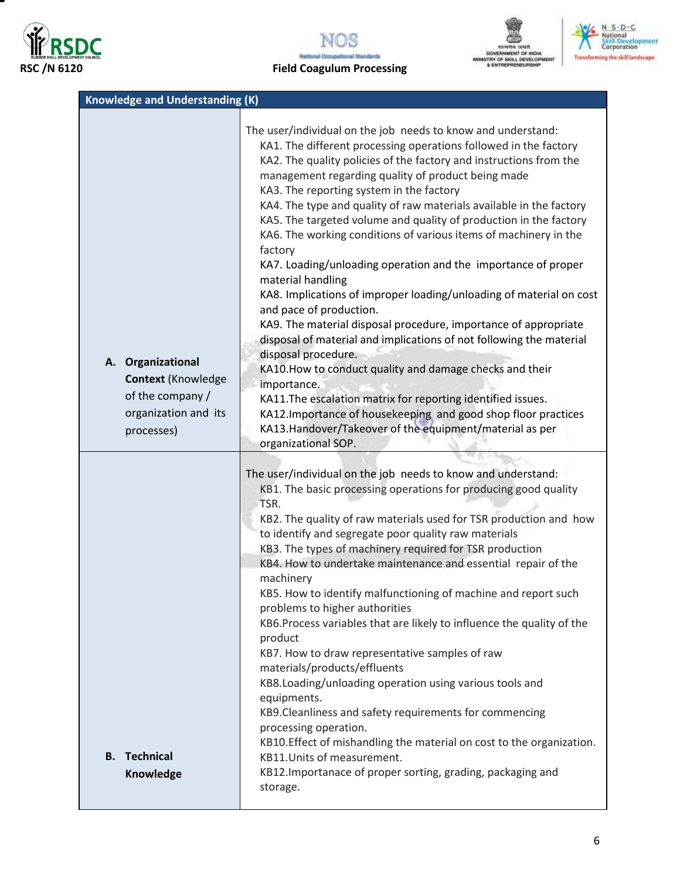







### **RSC /N 6120 Field Coagulum Processing**

| <b>Knowledge and Understanding (K)</b>                                                                    |                                                                                                                                                                                                                                                                                                                                                                                                                                                                                                                                                                                                                                                                                                                                                                                                                                                                                                                                                                                                                                                                                                                                                                                             |
|-----------------------------------------------------------------------------------------------------------|---------------------------------------------------------------------------------------------------------------------------------------------------------------------------------------------------------------------------------------------------------------------------------------------------------------------------------------------------------------------------------------------------------------------------------------------------------------------------------------------------------------------------------------------------------------------------------------------------------------------------------------------------------------------------------------------------------------------------------------------------------------------------------------------------------------------------------------------------------------------------------------------------------------------------------------------------------------------------------------------------------------------------------------------------------------------------------------------------------------------------------------------------------------------------------------------|
| A. Organizational<br><b>Context (Knowledge)</b><br>of the company /<br>organization and its<br>processes) | The user/individual on the job needs to know and understand:<br>KA1. The different processing operations followed in the factory<br>KA2. The quality policies of the factory and instructions from the<br>management regarding quality of product being made<br>KA3. The reporting system in the factory<br>KA4. The type and quality of raw materials available in the factory<br>KA5. The targeted volume and quality of production in the factory<br>KA6. The working conditions of various items of machinery in the<br>factory<br>KA7. Loading/unloading operation and the importance of proper<br>material handling<br>KA8. Implications of improper loading/unloading of material on cost<br>and pace of production.<br>KA9. The material disposal procedure, importance of appropriate<br>disposal of material and implications of not following the material<br>disposal procedure.<br>KA10. How to conduct quality and damage checks and their<br>importance.<br>KA11. The escalation matrix for reporting identified issues.<br>KA12. Importance of housekeeping and good shop floor practices<br>KA13.Handover/Takeover of the equipment/material as per<br>organizational SOP. |
| <b>B.</b> Technical<br>Knowledge                                                                          | The user/individual on the job needs to know and understand:<br>KB1. The basic processing operations for producing good quality<br>TSR.<br>KB2. The quality of raw materials used for TSR production and how<br>to identify and segregate poor quality raw materials<br>KB3. The types of machinery required for TSR production<br>KB4. How to undertake maintenance and essential repair of the<br>machinery<br>KB5. How to identify malfunctioning of machine and report such<br>problems to higher authorities<br>KB6. Process variables that are likely to influence the quality of the<br>product<br>KB7. How to draw representative samples of raw<br>materials/products/effluents<br>KB8.Loading/unloading operation using various tools and<br>equipments.<br>KB9. Cleanliness and safety requirements for commencing<br>processing operation.<br>KB10. Effect of mishandling the material on cost to the organization.<br>KB11. Units of measurement.<br>KB12. Importanace of proper sorting, grading, packaging and<br>storage.                                                                                                                                                   |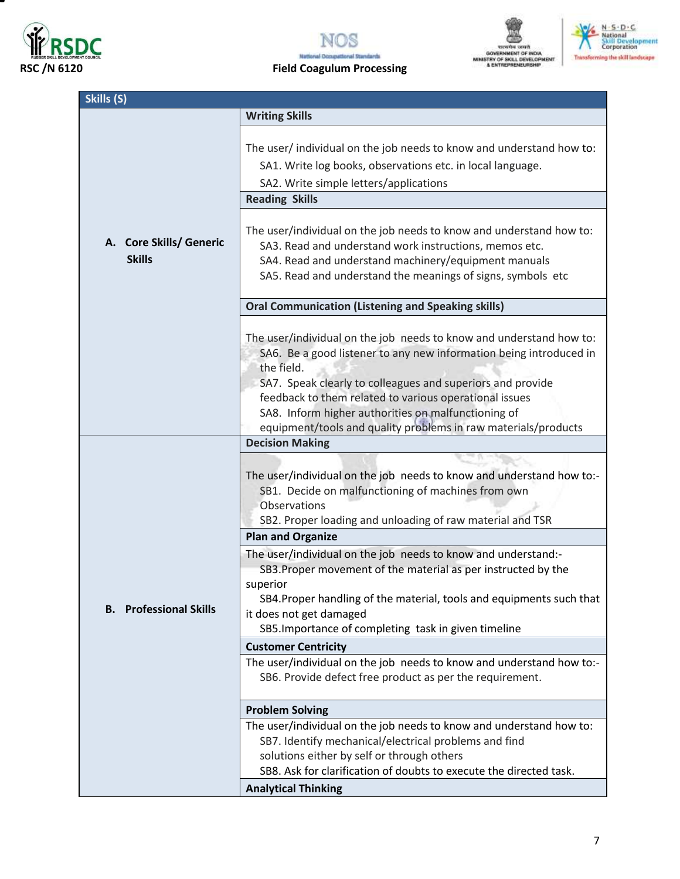

▀







### **RSC /N 6120 Field Coagulum Processing**

| Skills (S)                               |                                                                                                                                                                                                                                                                                                                                                                                                          |
|------------------------------------------|----------------------------------------------------------------------------------------------------------------------------------------------------------------------------------------------------------------------------------------------------------------------------------------------------------------------------------------------------------------------------------------------------------|
|                                          | <b>Writing Skills</b>                                                                                                                                                                                                                                                                                                                                                                                    |
|                                          | The user/ individual on the job needs to know and understand how to:<br>SA1. Write log books, observations etc. in local language.<br>SA2. Write simple letters/applications                                                                                                                                                                                                                             |
|                                          | <b>Reading Skills</b>                                                                                                                                                                                                                                                                                                                                                                                    |
| A. Core Skills/ Generic<br><b>Skills</b> | The user/individual on the job needs to know and understand how to:<br>SA3. Read and understand work instructions, memos etc.<br>SA4. Read and understand machinery/equipment manuals<br>SA5. Read and understand the meanings of signs, symbols etc                                                                                                                                                     |
|                                          | <b>Oral Communication (Listening and Speaking skills)</b>                                                                                                                                                                                                                                                                                                                                                |
|                                          | The user/individual on the job needs to know and understand how to:<br>SA6. Be a good listener to any new information being introduced in<br>the field.<br>SA7. Speak clearly to colleagues and superiors and provide<br>feedback to them related to various operational issues<br>SA8. Inform higher authorities on malfunctioning of<br>equipment/tools and quality problems in raw materials/products |
|                                          | <b>Decision Making</b>                                                                                                                                                                                                                                                                                                                                                                                   |
|                                          | The user/individual on the job needs to know and understand how to:-<br>SB1. Decide on malfunctioning of machines from own<br>Observations<br>SB2. Proper loading and unloading of raw material and TSR                                                                                                                                                                                                  |
|                                          | <b>Plan and Organize</b>                                                                                                                                                                                                                                                                                                                                                                                 |
| <b>B.</b> Professional Skills            | The user/individual on the job needs to know and understand:-<br>SB3. Proper movement of the material as per instructed by the<br>superior<br>SB4. Proper handling of the material, tools and equipments such that<br>it does not get damaged<br>SB5. Importance of completing task in given timeline                                                                                                    |
|                                          | <b>Customer Centricity</b>                                                                                                                                                                                                                                                                                                                                                                               |
|                                          | The user/individual on the job needs to know and understand how to:-<br>SB6. Provide defect free product as per the requirement.                                                                                                                                                                                                                                                                         |
|                                          | <b>Problem Solving</b>                                                                                                                                                                                                                                                                                                                                                                                   |
|                                          | The user/individual on the job needs to know and understand how to:<br>SB7. Identify mechanical/electrical problems and find<br>solutions either by self or through others<br>SB8. Ask for clarification of doubts to execute the directed task.                                                                                                                                                         |
|                                          | <b>Analytical Thinking</b>                                                                                                                                                                                                                                                                                                                                                                               |
|                                          |                                                                                                                                                                                                                                                                                                                                                                                                          |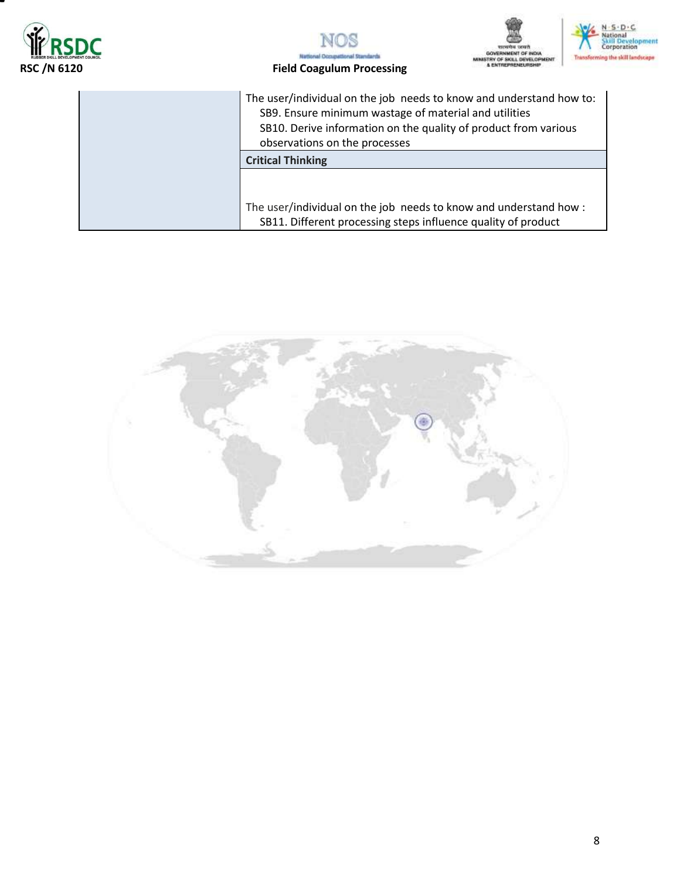







#### **RSC /N 6120 Field Coagulum Processing**

The user/individual on the job needs to know and understand how to: SB9. Ensure minimum wastage of material and utilities SB10. Derive information on the quality of product from various observations on the processes

**Critical Thinking**

The user/individual on the job needs to know and understand how : SB11. Different processing steps influence quality of product

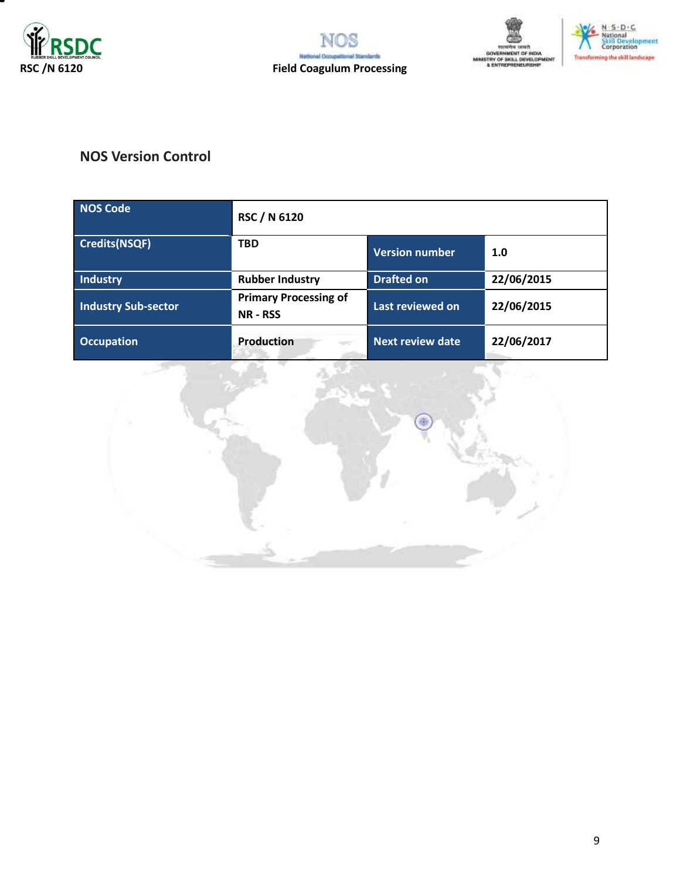







### **NOS Version Control**

| <b>NOS Code</b>            | <b>RSC / N 6120</b>                             |                         |            |
|----------------------------|-------------------------------------------------|-------------------------|------------|
| <b>Credits(NSQF)</b>       | <b>TBD</b>                                      | <b>Version number</b>   | 1.0        |
| Industry                   | <b>Rubber Industry</b>                          | <b>Drafted on</b>       | 22/06/2015 |
| <b>Industry Sub-sector</b> | <b>Primary Processing of</b><br><b>NR - RSS</b> | Last reviewed on        | 22/06/2015 |
| <b>Occupation</b>          | <b>Production</b><br>$\sim$                     | <b>Next review date</b> | 22/06/2017 |

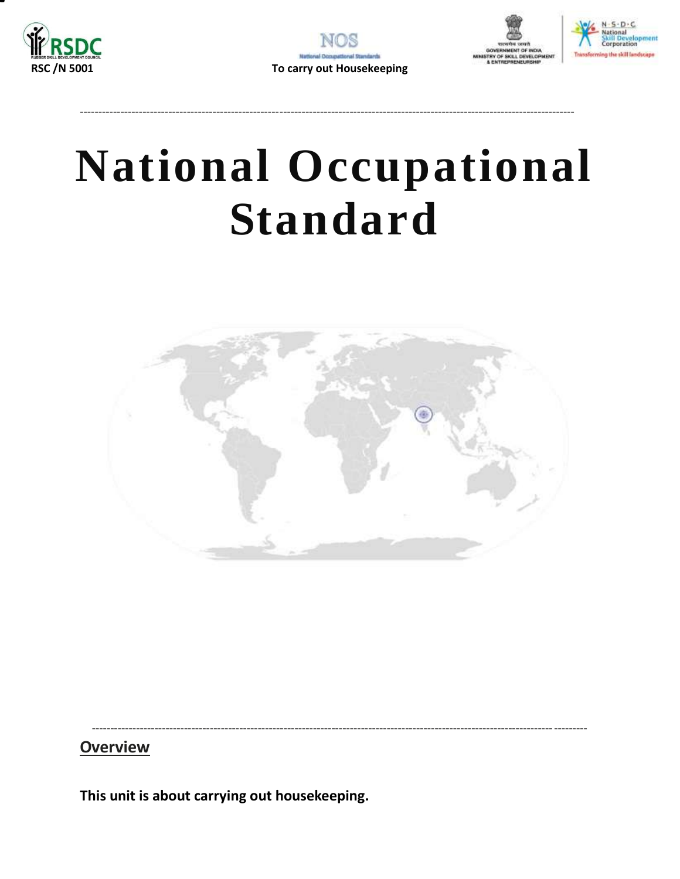







# **National Occupational Standard**

<span id="page-9-0"></span>

## **Overview**

This unit is about carrying out housekeeping.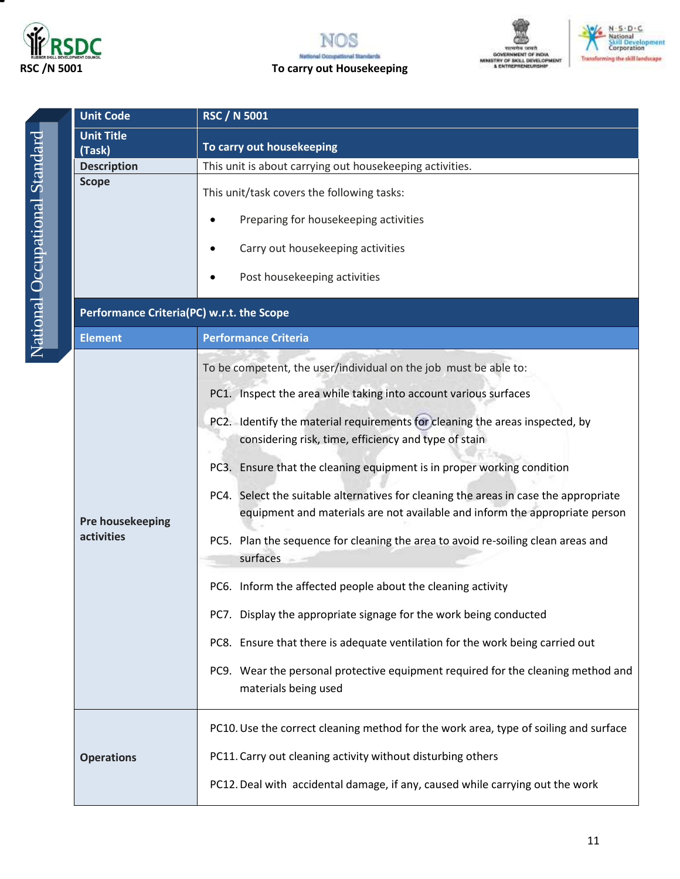







**Unit Code RSC / N 5001 Unit Title** National Occupational Standard National Occupational Standard**Scope**

| (Task)                                    | To carry out housekeeping                                                                                                                                           |  |  |
|-------------------------------------------|---------------------------------------------------------------------------------------------------------------------------------------------------------------------|--|--|
| <b>Description</b>                        | This unit is about carrying out housekeeping activities.                                                                                                            |  |  |
| <b>Scope</b>                              | This unit/task covers the following tasks:                                                                                                                          |  |  |
|                                           | Preparing for housekeeping activities                                                                                                                               |  |  |
|                                           | Carry out housekeeping activities                                                                                                                                   |  |  |
|                                           | Post housekeeping activities                                                                                                                                        |  |  |
| Performance Criteria(PC) w.r.t. the Scope |                                                                                                                                                                     |  |  |
| <b>Element</b>                            | <b>Performance Criteria</b>                                                                                                                                         |  |  |
|                                           | To be competent, the user/individual on the job must be able to:                                                                                                    |  |  |
|                                           | PC1. Inspect the area while taking into account various surfaces                                                                                                    |  |  |
|                                           | PC2. Identify the material requirements for cleaning the areas inspected, by<br>considering risk, time, efficiency and type of stain                                |  |  |
|                                           | PC3. Ensure that the cleaning equipment is in proper working condition                                                                                              |  |  |
| Pre housekeeping                          | PC4. Select the suitable alternatives for cleaning the areas in case the appropriate<br>equipment and materials are not available and inform the appropriate person |  |  |
| activities                                | PC5. Plan the sequence for cleaning the area to avoid re-soiling clean areas and<br>surfaces                                                                        |  |  |
|                                           | PC6. Inform the affected people about the cleaning activity                                                                                                         |  |  |
|                                           | PC7. Display the appropriate signage for the work being conducted                                                                                                   |  |  |
|                                           | PC8. Ensure that there is adequate ventilation for the work being carried out                                                                                       |  |  |
|                                           | PC9. Wear the personal protective equipment required for the cleaning method and<br>materials being used                                                            |  |  |
|                                           | PC10. Use the correct cleaning method for the work area, type of soiling and surface                                                                                |  |  |
| <b>Operations</b>                         | PC11. Carry out cleaning activity without disturbing others                                                                                                         |  |  |
|                                           | PC12. Deal with accidental damage, if any, caused while carrying out the work                                                                                       |  |  |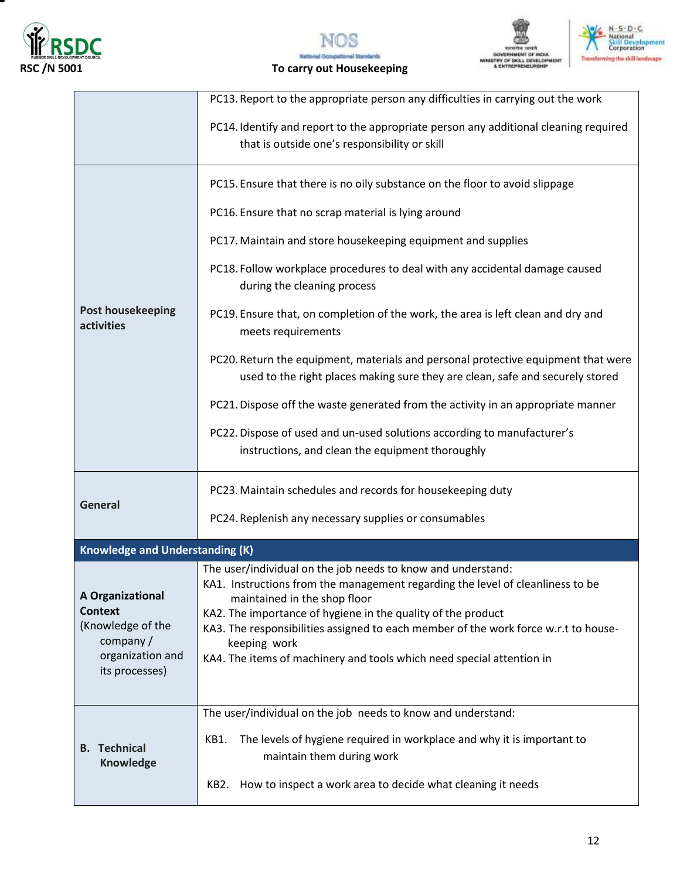

т







|                                                                                                              | PC13. Report to the appropriate person any difficulties in carrying out the work                                                                                                                                                                                                                                                                                                                                               |
|--------------------------------------------------------------------------------------------------------------|--------------------------------------------------------------------------------------------------------------------------------------------------------------------------------------------------------------------------------------------------------------------------------------------------------------------------------------------------------------------------------------------------------------------------------|
|                                                                                                              | PC14. Identify and report to the appropriate person any additional cleaning required<br>that is outside one's responsibility or skill                                                                                                                                                                                                                                                                                          |
|                                                                                                              | PC15. Ensure that there is no oily substance on the floor to avoid slippage                                                                                                                                                                                                                                                                                                                                                    |
|                                                                                                              | PC16. Ensure that no scrap material is lying around                                                                                                                                                                                                                                                                                                                                                                            |
|                                                                                                              | PC17. Maintain and store housekeeping equipment and supplies                                                                                                                                                                                                                                                                                                                                                                   |
|                                                                                                              | PC18. Follow workplace procedures to deal with any accidental damage caused<br>during the cleaning process                                                                                                                                                                                                                                                                                                                     |
| <b>Post housekeeping</b><br>activities                                                                       | PC19. Ensure that, on completion of the work, the area is left clean and dry and<br>meets requirements                                                                                                                                                                                                                                                                                                                         |
|                                                                                                              | PC20. Return the equipment, materials and personal protective equipment that were<br>used to the right places making sure they are clean, safe and securely stored                                                                                                                                                                                                                                                             |
|                                                                                                              | PC21. Dispose off the waste generated from the activity in an appropriate manner                                                                                                                                                                                                                                                                                                                                               |
|                                                                                                              | PC22. Dispose of used and un-used solutions according to manufacturer's<br>instructions, and clean the equipment thoroughly                                                                                                                                                                                                                                                                                                    |
|                                                                                                              | PC23. Maintain schedules and records for housekeeping duty                                                                                                                                                                                                                                                                                                                                                                     |
| <b>General</b>                                                                                               | PC24. Replenish any necessary supplies or consumables                                                                                                                                                                                                                                                                                                                                                                          |
| <b>Knowledge and Understanding (K)</b>                                                                       |                                                                                                                                                                                                                                                                                                                                                                                                                                |
| A Organizational<br><b>Context</b><br>(Knowledge of the<br>company $/$<br>organization and<br>its processes) | The user/individual on the job needs to know and understand:<br>KA1. Instructions from the management regarding the level of cleanliness to be<br>maintained in the shop floor<br>KA2. The importance of hygiene in the quality of the product<br>KA3. The responsibilities assigned to each member of the work force w.r.t to house-<br>keeping work<br>KA4. The items of machinery and tools which need special attention in |
|                                                                                                              | The user/individual on the job needs to know and understand:                                                                                                                                                                                                                                                                                                                                                                   |
| <b>B.</b> Technical<br><b>Knowledge</b>                                                                      | The levels of hygiene required in workplace and why it is important to<br>KB1.<br>maintain them during work                                                                                                                                                                                                                                                                                                                    |
|                                                                                                              | KB2. How to inspect a work area to decide what cleaning it needs                                                                                                                                                                                                                                                                                                                                                               |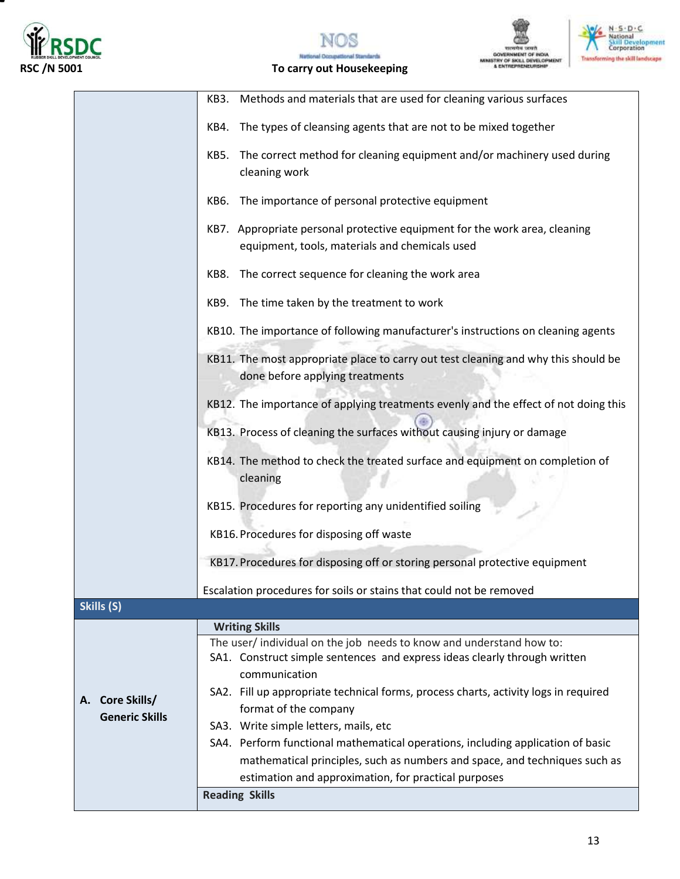

▀







|                       | KB3. Methods and materials that are used for cleaning various surfaces                     |
|-----------------------|--------------------------------------------------------------------------------------------|
|                       |                                                                                            |
|                       | The types of cleansing agents that are not to be mixed together<br>KB4.                    |
|                       | The correct method for cleaning equipment and/or machinery used during<br>KB5.             |
|                       | cleaning work                                                                              |
|                       |                                                                                            |
|                       | The importance of personal protective equipment<br>KB6.                                    |
|                       | KB7. Appropriate personal protective equipment for the work area, cleaning                 |
|                       | equipment, tools, materials and chemicals used                                             |
|                       |                                                                                            |
|                       | The correct sequence for cleaning the work area<br>KB8.                                    |
|                       | KB9. The time taken by the treatment to work                                               |
|                       | KB10. The importance of following manufacturer's instructions on cleaning agents           |
|                       | KB11. The most appropriate place to carry out test cleaning and why this should be         |
|                       | done before applying treatments                                                            |
|                       | KB12. The importance of applying treatments evenly and the effect of not doing this        |
|                       | KB13. Process of cleaning the surfaces without causing injury or damage                    |
|                       |                                                                                            |
|                       | KB14. The method to check the treated surface and equipment on completion of               |
|                       | cleaning                                                                                   |
|                       | KB15. Procedures for reporting any unidentified soiling                                    |
|                       | KB16. Procedures for disposing off waste                                                   |
|                       |                                                                                            |
|                       | KB17. Procedures for disposing off or storing personal protective equipment                |
|                       | Escalation procedures for soils or stains that could not be removed                        |
| Skills (S)            |                                                                                            |
|                       | <b>Writing Skills</b>                                                                      |
|                       | The user/individual on the job needs to know and understand how to:                        |
|                       | SA1. Construct simple sentences and express ideas clearly through written<br>communication |
|                       | SA2. Fill up appropriate technical forms, process charts, activity logs in required        |
| Core Skills/<br>А.    | format of the company                                                                      |
| <b>Generic Skills</b> | SA3. Write simple letters, mails, etc                                                      |
|                       | SA4. Perform functional mathematical operations, including application of basic            |
|                       | mathematical principles, such as numbers and space, and techniques such as                 |
|                       | estimation and approximation, for practical purposes                                       |
|                       | <b>Reading Skills</b>                                                                      |
|                       |                                                                                            |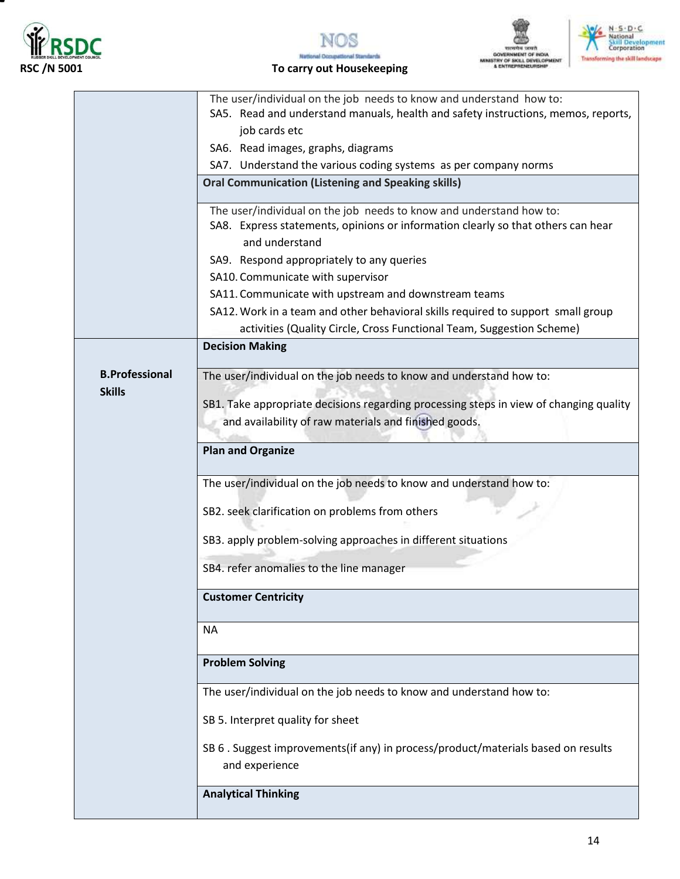

т







|                       | The user/individual on the job needs to know and understand how to:                    |
|-----------------------|----------------------------------------------------------------------------------------|
|                       | SA5. Read and understand manuals, health and safety instructions, memos, reports,      |
|                       | job cards etc                                                                          |
|                       | SA6. Read images, graphs, diagrams                                                     |
|                       | SA7. Understand the various coding systems as per company norms                        |
|                       | <b>Oral Communication (Listening and Speaking skills)</b>                              |
|                       | The user/individual on the job needs to know and understand how to:                    |
|                       | SA8. Express statements, opinions or information clearly so that others can hear       |
|                       | and understand                                                                         |
|                       | SA9. Respond appropriately to any queries                                              |
|                       | SA10. Communicate with supervisor                                                      |
|                       | SA11. Communicate with upstream and downstream teams                                   |
|                       | SA12. Work in a team and other behavioral skills required to support small group       |
|                       | activities (Quality Circle, Cross Functional Team, Suggestion Scheme)                  |
|                       | <b>Decision Making</b>                                                                 |
|                       |                                                                                        |
| <b>B.Professional</b> | The user/individual on the job needs to know and understand how to:                    |
| <b>Skills</b>         | SB1. Take appropriate decisions regarding processing steps in view of changing quality |
|                       | and availability of raw materials and finished goods.                                  |
|                       |                                                                                        |
|                       | <b>Plan and Organize</b>                                                               |
|                       |                                                                                        |
|                       | The user/individual on the job needs to know and understand how to:                    |
|                       |                                                                                        |
|                       | SB2. seek clarification on problems from others                                        |
|                       | SB3. apply problem-solving approaches in different situations                          |
|                       |                                                                                        |
|                       | SB4. refer anomalies to the line manager                                               |
|                       | <b>Customer Centricity</b>                                                             |
|                       |                                                                                        |
|                       | <b>NA</b>                                                                              |
|                       |                                                                                        |
|                       | <b>Problem Solving</b>                                                                 |
|                       | The user/individual on the job needs to know and understand how to:                    |
|                       | SB 5. Interpret quality for sheet                                                      |
|                       |                                                                                        |
|                       | SB 6 . Suggest improvements(if any) in process/product/materials based on results      |
|                       | and experience                                                                         |
|                       | <b>Analytical Thinking</b>                                                             |
|                       |                                                                                        |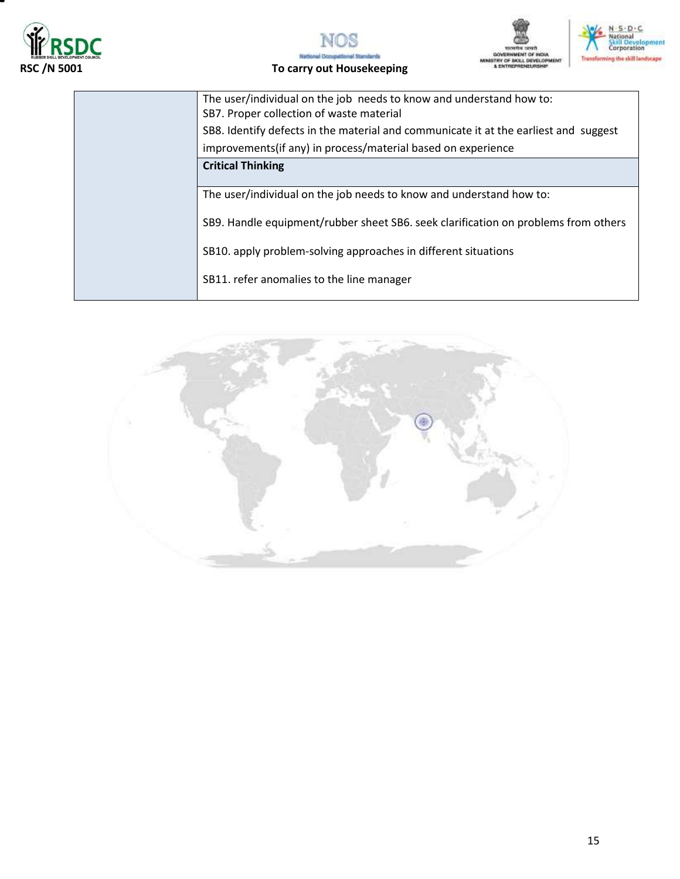







| The user/individual on the job needs to know and understand how to:<br>SB7. Proper collection of waste material |
|-----------------------------------------------------------------------------------------------------------------|
| SB8. Identify defects in the material and communicate it at the earliest and suggest                            |
| improvements(if any) in process/material based on experience                                                    |
| <b>Critical Thinking</b>                                                                                        |
|                                                                                                                 |
| The user/individual on the job needs to know and understand how to:                                             |
| SB9. Handle equipment/rubber sheet SB6. seek clarification on problems from others                              |
| SB10. apply problem-solving approaches in different situations                                                  |
| SB11. refer anomalies to the line manager                                                                       |

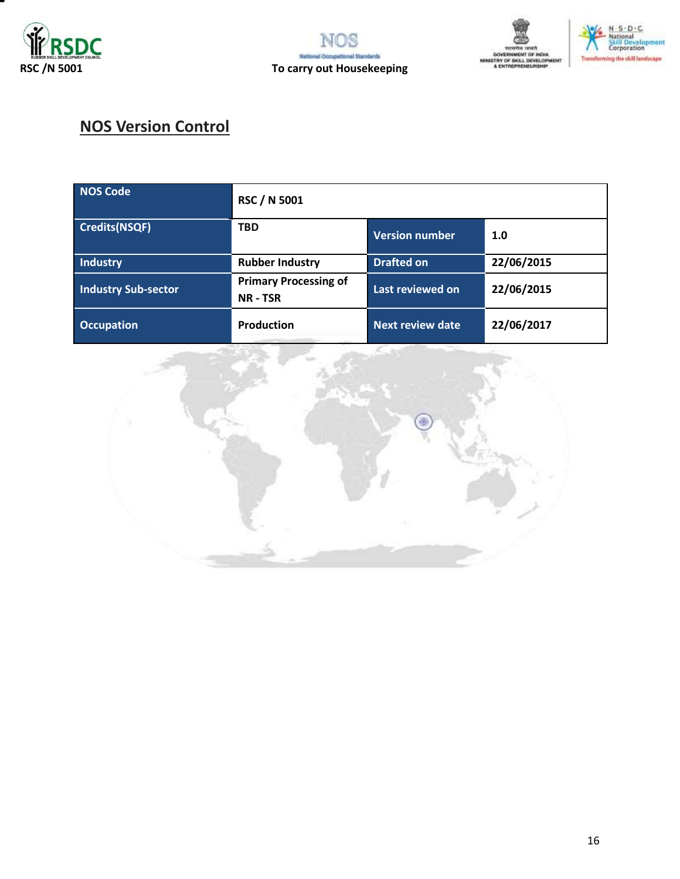







# **NOS Version Control**

| NOS Code                   | <b>RSC / N 5001</b>                           |                         |            |
|----------------------------|-----------------------------------------------|-------------------------|------------|
| Credits(NSQF)              | <b>TBD</b>                                    | <b>Version number</b>   | 1.0        |
| <b>Industry</b>            | <b>Rubber Industry</b>                        | <b>Drafted on</b>       | 22/06/2015 |
| <b>Industry Sub-sector</b> | <b>Primary Processing of</b><br><b>NR-TSR</b> | Last reviewed on        | 22/06/2015 |
| <b>Occupation</b>          | Production                                    | <b>Next review date</b> | 22/06/2017 |

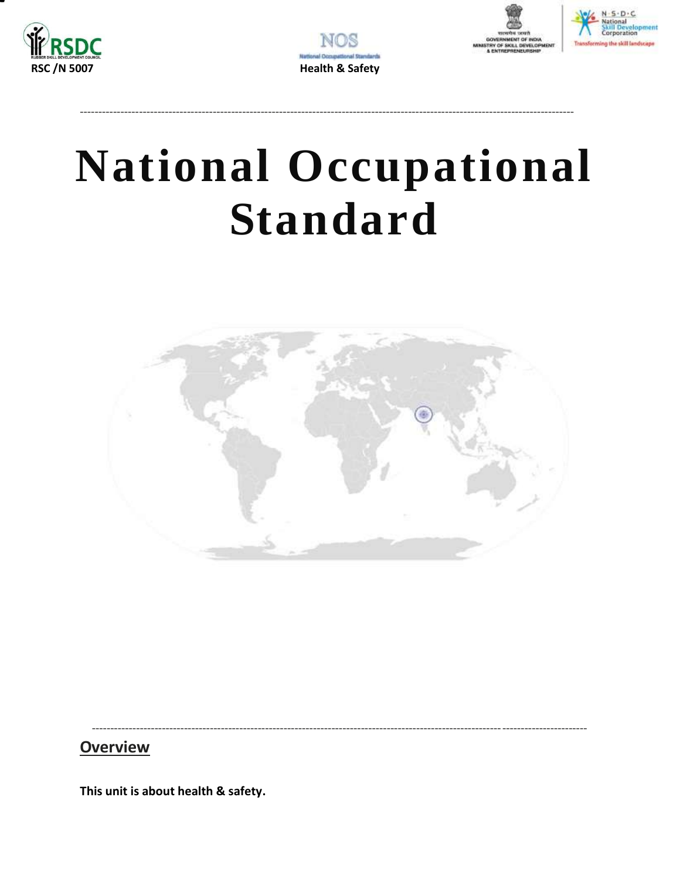







# **National Occupational Standard**

<span id="page-16-0"></span>

## **Overview**

This unit is about health & safety.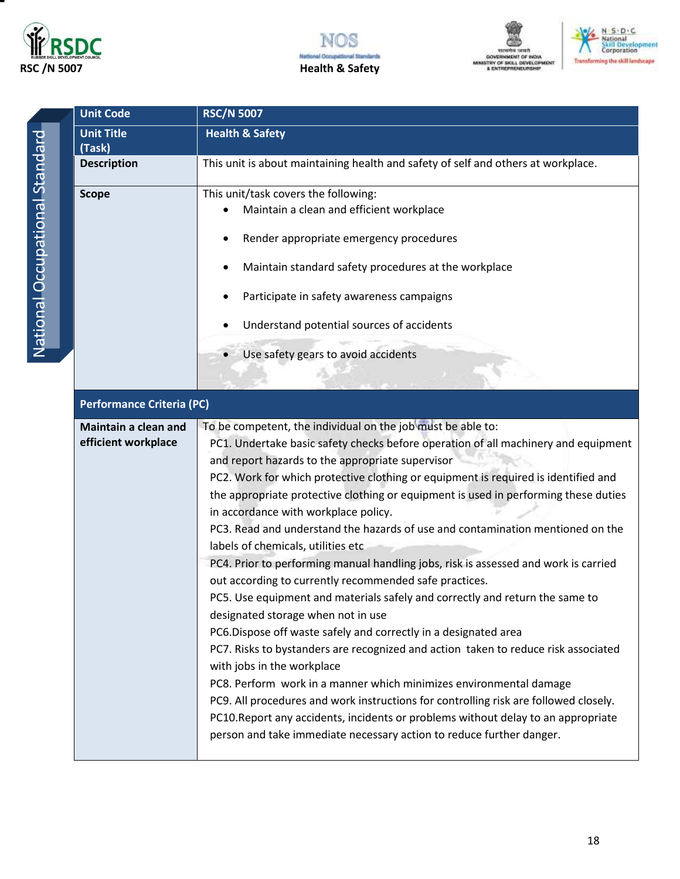







| <b>Unit Code</b>                            | <b>RSC/N 5007</b>                                                                                                                                                                                                                                                                                                                                                                                                                                                                                                                                                                                                                                                                                                                                                                                                                                                                                                                                                                                                                                                                                                                                                                                                                                                                                                                           |
|---------------------------------------------|---------------------------------------------------------------------------------------------------------------------------------------------------------------------------------------------------------------------------------------------------------------------------------------------------------------------------------------------------------------------------------------------------------------------------------------------------------------------------------------------------------------------------------------------------------------------------------------------------------------------------------------------------------------------------------------------------------------------------------------------------------------------------------------------------------------------------------------------------------------------------------------------------------------------------------------------------------------------------------------------------------------------------------------------------------------------------------------------------------------------------------------------------------------------------------------------------------------------------------------------------------------------------------------------------------------------------------------------|
| <b>Unit Title</b>                           | <b>Health &amp; Safety</b>                                                                                                                                                                                                                                                                                                                                                                                                                                                                                                                                                                                                                                                                                                                                                                                                                                                                                                                                                                                                                                                                                                                                                                                                                                                                                                                  |
| (Task)                                      |                                                                                                                                                                                                                                                                                                                                                                                                                                                                                                                                                                                                                                                                                                                                                                                                                                                                                                                                                                                                                                                                                                                                                                                                                                                                                                                                             |
| <b>Description</b>                          | This unit is about maintaining health and safety of self and others at workplace.                                                                                                                                                                                                                                                                                                                                                                                                                                                                                                                                                                                                                                                                                                                                                                                                                                                                                                                                                                                                                                                                                                                                                                                                                                                           |
| <b>Scope</b>                                | This unit/task covers the following:<br>Maintain a clean and efficient workplace<br>Render appropriate emergency procedures<br>Maintain standard safety procedures at the workplace<br>Participate in safety awareness campaigns<br>Understand potential sources of accidents<br>Use safety gears to avoid accidents                                                                                                                                                                                                                                                                                                                                                                                                                                                                                                                                                                                                                                                                                                                                                                                                                                                                                                                                                                                                                        |
| Performance Criteria (PC)                   |                                                                                                                                                                                                                                                                                                                                                                                                                                                                                                                                                                                                                                                                                                                                                                                                                                                                                                                                                                                                                                                                                                                                                                                                                                                                                                                                             |
| Maintain a clean and<br>efficient workplace | To be competent, the individual on the job must be able to:<br>PC1. Undertake basic safety checks before operation of all machinery and equipment<br>and report hazards to the appropriate supervisor<br>PC2. Work for which protective clothing or equipment is required is identified and<br>the appropriate protective clothing or equipment is used in performing these duties<br>in accordance with workplace policy.<br>PC3. Read and understand the hazards of use and contamination mentioned on the<br>labels of chemicals, utilities etc<br>PC4. Prior to performing manual handling jobs, risk is assessed and work is carried<br>out according to currently recommended safe practices.<br>PC5. Use equipment and materials safely and correctly and return the same to<br>designated storage when not in use<br>PC6.Dispose off waste safely and correctly in a designated area<br>PC7. Risks to bystanders are recognized and action taken to reduce risk associated<br>with jobs in the workplace<br>PC8. Perform work in a manner which minimizes environmental damage<br>PC9. All procedures and work instructions for controlling risk are followed closely.<br>PC10. Report any accidents, incidents or problems without delay to an appropriate<br>person and take immediate necessary action to reduce further danger. |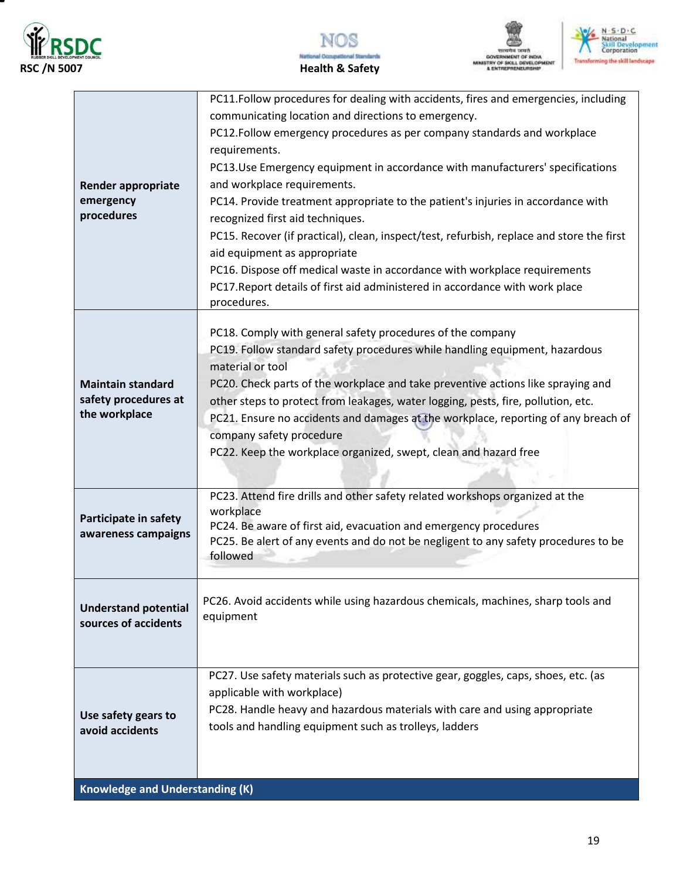

▀







| <b>Render appropriate</b><br>emergency<br>procedures              | PC11.Follow procedures for dealing with accidents, fires and emergencies, including<br>communicating location and directions to emergency.<br>PC12. Follow emergency procedures as per company standards and workplace<br>requirements.<br>PC13.Use Emergency equipment in accordance with manufacturers' specifications<br>and workplace requirements.<br>PC14. Provide treatment appropriate to the patient's injuries in accordance with<br>recognized first aid techniques.<br>PC15. Recover (if practical), clean, inspect/test, refurbish, replace and store the first<br>aid equipment as appropriate<br>PC16. Dispose off medical waste in accordance with workplace requirements<br>PC17. Report details of first aid administered in accordance with work place<br>procedures. |
|-------------------------------------------------------------------|------------------------------------------------------------------------------------------------------------------------------------------------------------------------------------------------------------------------------------------------------------------------------------------------------------------------------------------------------------------------------------------------------------------------------------------------------------------------------------------------------------------------------------------------------------------------------------------------------------------------------------------------------------------------------------------------------------------------------------------------------------------------------------------|
| <b>Maintain standard</b><br>safety procedures at<br>the workplace | PC18. Comply with general safety procedures of the company<br>PC19. Follow standard safety procedures while handling equipment, hazardous<br>material or tool<br>PC20. Check parts of the workplace and take preventive actions like spraying and<br>other steps to protect from leakages, water logging, pests, fire, pollution, etc.<br>PC21. Ensure no accidents and damages at the workplace, reporting of any breach of<br>company safety procedure<br>PC22. Keep the workplace organized, swept, clean and hazard free                                                                                                                                                                                                                                                             |
| Participate in safety<br>awareness campaigns                      | PC23. Attend fire drills and other safety related workshops organized at the<br>workplace<br>PC24. Be aware of first aid, evacuation and emergency procedures<br>PC25. Be alert of any events and do not be negligent to any safety procedures to be<br>followed                                                                                                                                                                                                                                                                                                                                                                                                                                                                                                                         |
| <b>Understand potential</b><br>sources of accidents               | PC26. Avoid accidents while using hazardous chemicals, machines, sharp tools and<br>equipment                                                                                                                                                                                                                                                                                                                                                                                                                                                                                                                                                                                                                                                                                            |
| Use safety gears to<br>avoid accidents                            | PC27. Use safety materials such as protective gear, goggles, caps, shoes, etc. (as<br>applicable with workplace)<br>PC28. Handle heavy and hazardous materials with care and using appropriate<br>tools and handling equipment such as trolleys, ladders                                                                                                                                                                                                                                                                                                                                                                                                                                                                                                                                 |
| <b>Knowledge and Understanding (K)</b>                            |                                                                                                                                                                                                                                                                                                                                                                                                                                                                                                                                                                                                                                                                                                                                                                                          |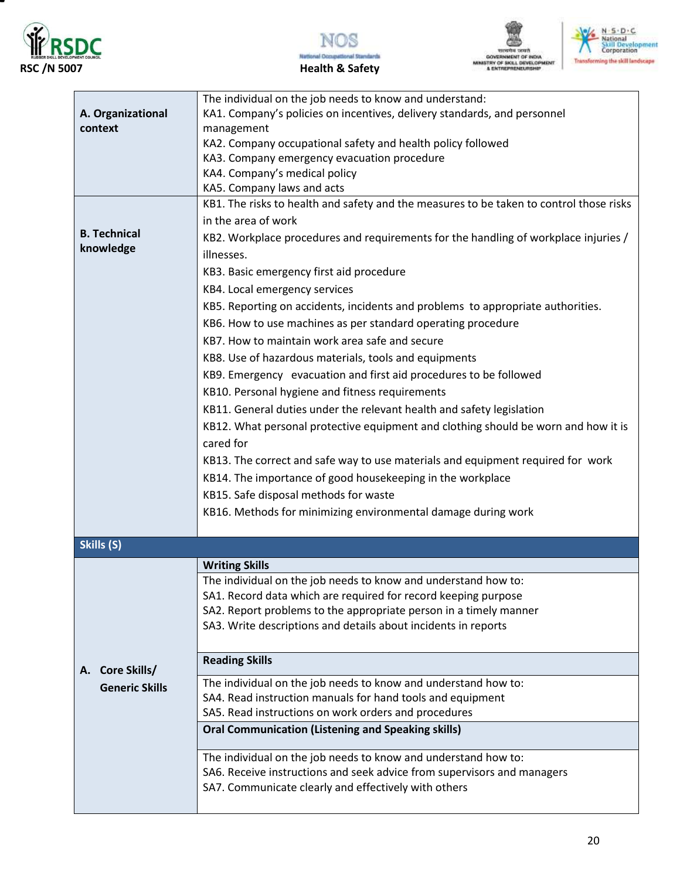

▀







| The individual on the job needs to know and understand:<br>A. Organizational<br>KA1. Company's policies on incentives, delivery standards, and personnel |  |
|----------------------------------------------------------------------------------------------------------------------------------------------------------|--|
|                                                                                                                                                          |  |
|                                                                                                                                                          |  |
| context<br>management                                                                                                                                    |  |
| KA2. Company occupational safety and health policy followed                                                                                              |  |
| KA3. Company emergency evacuation procedure                                                                                                              |  |
| KA4. Company's medical policy                                                                                                                            |  |
| KA5. Company laws and acts                                                                                                                               |  |
| KB1. The risks to health and safety and the measures to be taken to control those risks                                                                  |  |
| in the area of work                                                                                                                                      |  |
| <b>B.</b> Technical<br>KB2. Workplace procedures and requirements for the handling of workplace injuries /                                               |  |
| knowledge<br>illnesses.                                                                                                                                  |  |
| KB3. Basic emergency first aid procedure                                                                                                                 |  |
|                                                                                                                                                          |  |
| KB4. Local emergency services                                                                                                                            |  |
| KB5. Reporting on accidents, incidents and problems to appropriate authorities.                                                                          |  |
| KB6. How to use machines as per standard operating procedure                                                                                             |  |
| KB7. How to maintain work area safe and secure                                                                                                           |  |
| KB8. Use of hazardous materials, tools and equipments                                                                                                    |  |
| KB9. Emergency evacuation and first aid procedures to be followed                                                                                        |  |
| KB10. Personal hygiene and fitness requirements                                                                                                          |  |
| KB11. General duties under the relevant health and safety legislation                                                                                    |  |
|                                                                                                                                                          |  |
| KB12. What personal protective equipment and clothing should be worn and how it is                                                                       |  |
| cared for                                                                                                                                                |  |
| KB13. The correct and safe way to use materials and equipment required for work                                                                          |  |
| KB14. The importance of good housekeeping in the workplace                                                                                               |  |
| KB15. Safe disposal methods for waste                                                                                                                    |  |
| KB16. Methods for minimizing environmental damage during work                                                                                            |  |
|                                                                                                                                                          |  |
| Skills (S)                                                                                                                                               |  |
|                                                                                                                                                          |  |
| <b>Writing Skills</b>                                                                                                                                    |  |
| The individual on the job needs to know and understand how to:                                                                                           |  |
| SA1. Record data which are required for record keeping purpose                                                                                           |  |
| SA2. Report problems to the appropriate person in a timely manner                                                                                        |  |
| SA3. Write descriptions and details about incidents in reports                                                                                           |  |
|                                                                                                                                                          |  |
| <b>Reading Skills</b><br>A. Core Skills/                                                                                                                 |  |
| The individual on the job needs to know and understand how to:<br><b>Generic Skills</b>                                                                  |  |
| SA4. Read instruction manuals for hand tools and equipment                                                                                               |  |
| SA5. Read instructions on work orders and procedures                                                                                                     |  |
| <b>Oral Communication (Listening and Speaking skills)</b>                                                                                                |  |
| The individual on the job needs to know and understand how to:                                                                                           |  |
|                                                                                                                                                          |  |
|                                                                                                                                                          |  |
| SA6. Receive instructions and seek advice from supervisors and managers<br>SA7. Communicate clearly and effectively with others                          |  |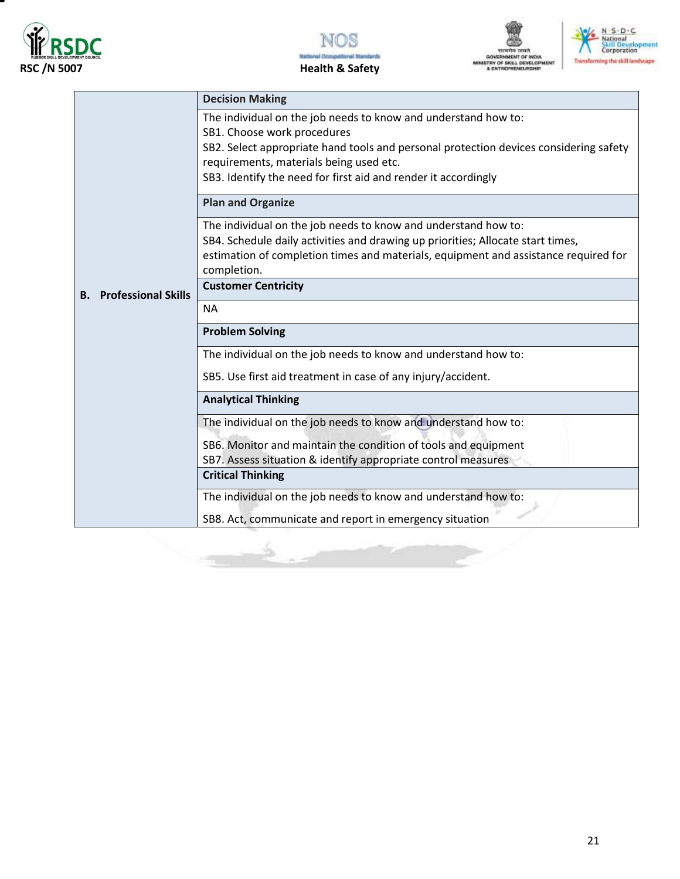







|                                         | <b>Decision Making</b>                                                                                                                                                                                                                                                                              |
|-----------------------------------------|-----------------------------------------------------------------------------------------------------------------------------------------------------------------------------------------------------------------------------------------------------------------------------------------------------|
|                                         | The individual on the job needs to know and understand how to:<br>SB1. Choose work procedures<br>SB2. Select appropriate hand tools and personal protection devices considering safety<br>requirements, materials being used etc.<br>SB3. Identify the need for first aid and render it accordingly |
|                                         | <b>Plan and Organize</b>                                                                                                                                                                                                                                                                            |
|                                         | The individual on the job needs to know and understand how to:<br>SB4. Schedule daily activities and drawing up priorities; Allocate start times,<br>estimation of completion times and materials, equipment and assistance required for<br>completion.                                             |
| <b>Professional Skills</b><br><b>B.</b> | <b>Customer Centricity</b>                                                                                                                                                                                                                                                                          |
|                                         | <b>NA</b>                                                                                                                                                                                                                                                                                           |
|                                         | <b>Problem Solving</b>                                                                                                                                                                                                                                                                              |
|                                         | The individual on the job needs to know and understand how to:                                                                                                                                                                                                                                      |
|                                         | SB5. Use first aid treatment in case of any injury/accident.                                                                                                                                                                                                                                        |
|                                         | <b>Analytical Thinking</b>                                                                                                                                                                                                                                                                          |
|                                         | The individual on the job needs to know and understand how to:                                                                                                                                                                                                                                      |
|                                         | SB6. Monitor and maintain the condition of tools and equipment                                                                                                                                                                                                                                      |
|                                         | SB7. Assess situation & identify appropriate control measures<br><b>Critical Thinking</b>                                                                                                                                                                                                           |
|                                         | The individual on the job needs to know and understand how to:                                                                                                                                                                                                                                      |
|                                         | SB8. Act, communicate and report in emergency situation                                                                                                                                                                                                                                             |

Ś.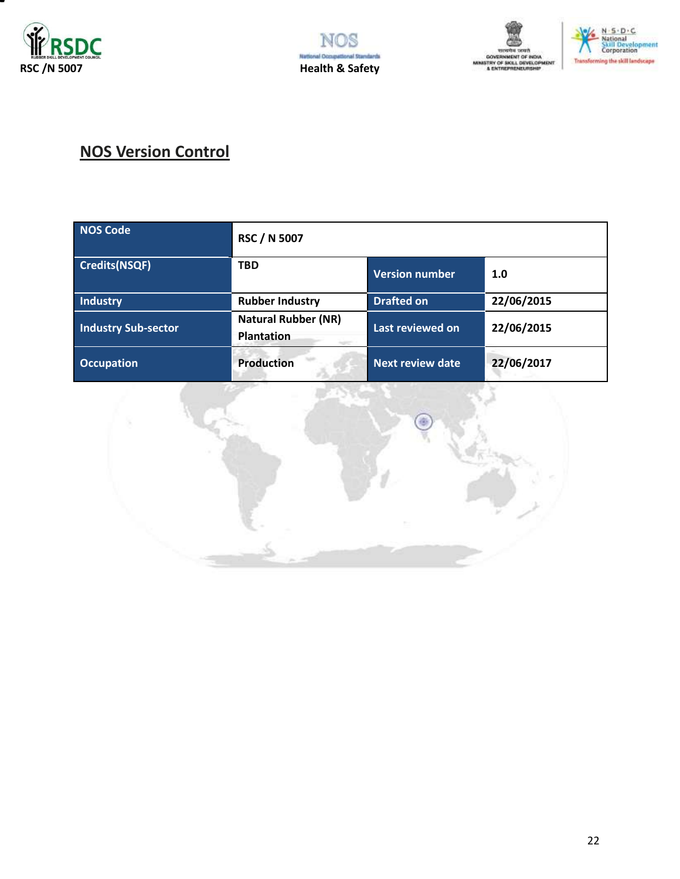







# **NOS Version Control**

| <b>NOS Code</b>            | <b>RSC / N 5007</b>                             |                         |            |
|----------------------------|-------------------------------------------------|-------------------------|------------|
| <b>Credits(NSQF)</b>       | <b>TBD</b>                                      | Version number          | 1.0        |
| Industry                   | <b>Rubber Industry</b>                          | <b>Drafted on</b>       | 22/06/2015 |
| <b>Industry Sub-sector</b> | <b>Natural Rubber (NR)</b><br><b>Plantation</b> | Last reviewed on        | 22/06/2015 |
| <b>Occupation</b>          | <b>Production</b>                               | <b>Next review date</b> | 22/06/2017 |

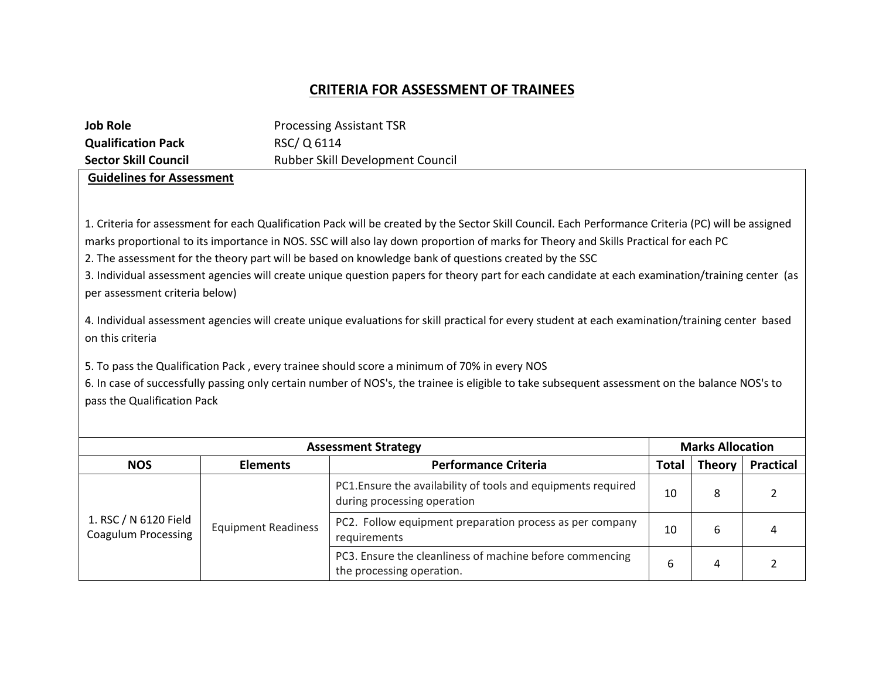# **CRITERIA FOR ASSESSMENT OF TRAINEES**

| <b>Job Role</b>                                                                                                       |                            | <b>Processing Assistant TSR</b>                                                                                                                                                                                                                                                                                                                                                                                                                                                                                                                                                                                                                                                                                                                                                                                                                                                                                                                             |              |                         |                  |
|-----------------------------------------------------------------------------------------------------------------------|----------------------------|-------------------------------------------------------------------------------------------------------------------------------------------------------------------------------------------------------------------------------------------------------------------------------------------------------------------------------------------------------------------------------------------------------------------------------------------------------------------------------------------------------------------------------------------------------------------------------------------------------------------------------------------------------------------------------------------------------------------------------------------------------------------------------------------------------------------------------------------------------------------------------------------------------------------------------------------------------------|--------------|-------------------------|------------------|
| <b>Qualification Pack</b>                                                                                             | RSC/Q 6114                 |                                                                                                                                                                                                                                                                                                                                                                                                                                                                                                                                                                                                                                                                                                                                                                                                                                                                                                                                                             |              |                         |                  |
| <b>Sector Skill Council</b>                                                                                           |                            | Rubber Skill Development Council                                                                                                                                                                                                                                                                                                                                                                                                                                                                                                                                                                                                                                                                                                                                                                                                                                                                                                                            |              |                         |                  |
| <b>Guidelines for Assessment</b><br>per assessment criteria below)<br>on this criteria<br>pass the Qualification Pack |                            | 1. Criteria for assessment for each Qualification Pack will be created by the Sector Skill Council. Each Performance Criteria (PC) will be assigned<br>marks proportional to its importance in NOS. SSC will also lay down proportion of marks for Theory and Skills Practical for each PC<br>2. The assessment for the theory part will be based on knowledge bank of questions created by the SSC<br>3. Individual assessment agencies will create unique question papers for theory part for each candidate at each examination/training center (as<br>4. Individual assessment agencies will create unique evaluations for skill practical for every student at each examination/training center based<br>5. To pass the Qualification Pack, every trainee should score a minimum of 70% in every NOS<br>6. In case of successfully passing only certain number of NOS's, the trainee is eligible to take subsequent assessment on the balance NOS's to |              |                         |                  |
|                                                                                                                       |                            | <b>Assessment Strategy</b>                                                                                                                                                                                                                                                                                                                                                                                                                                                                                                                                                                                                                                                                                                                                                                                                                                                                                                                                  |              | <b>Marks Allocation</b> |                  |
| <b>NOS</b>                                                                                                            | <b>Elements</b>            | <b>Performance Criteria</b>                                                                                                                                                                                                                                                                                                                                                                                                                                                                                                                                                                                                                                                                                                                                                                                                                                                                                                                                 | <b>Total</b> | <b>Theory</b>           | <b>Practical</b> |
|                                                                                                                       |                            | PC1. Ensure the availability of tools and equipments required<br>during processing operation                                                                                                                                                                                                                                                                                                                                                                                                                                                                                                                                                                                                                                                                                                                                                                                                                                                                | 10           | 8                       | 2                |
| 1. RSC / N 6120 Field<br><b>Coagulum Processing</b>                                                                   | <b>Equipment Readiness</b> | PC2. Follow equipment preparation process as per company<br>requirements                                                                                                                                                                                                                                                                                                                                                                                                                                                                                                                                                                                                                                                                                                                                                                                                                                                                                    | 10           | 6                       |                  |
|                                                                                                                       |                            |                                                                                                                                                                                                                                                                                                                                                                                                                                                                                                                                                                                                                                                                                                                                                                                                                                                                                                                                                             |              |                         | 4                |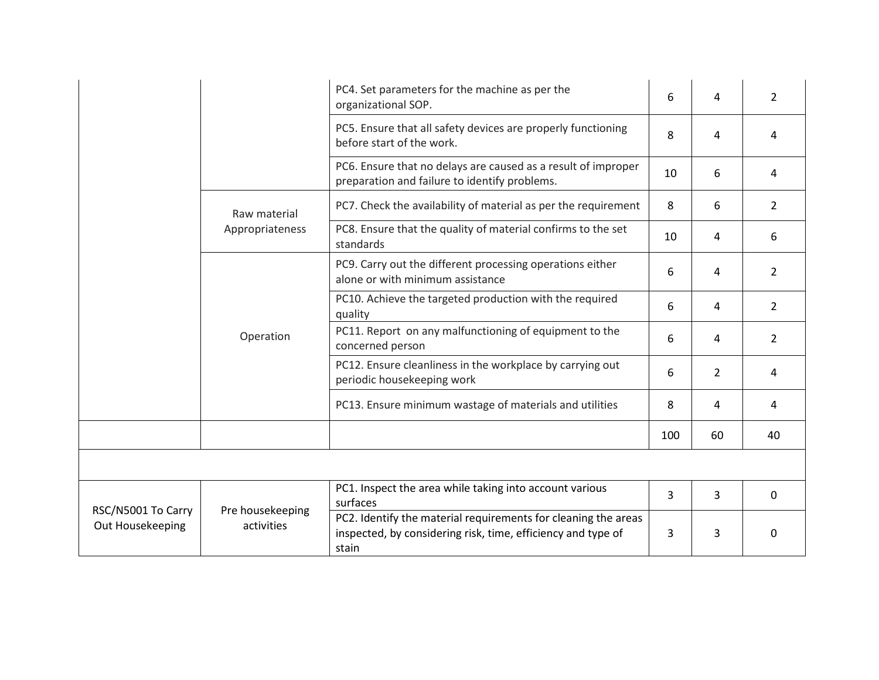|                                        |                                | PC4. Set parameters for the machine as per the<br>organizational SOP.                                                                   | 6   | 4              | 2              |
|----------------------------------------|--------------------------------|-----------------------------------------------------------------------------------------------------------------------------------------|-----|----------------|----------------|
|                                        |                                | PC5. Ensure that all safety devices are properly functioning<br>before start of the work.                                               | 8   | 4              | 4              |
|                                        |                                | PC6. Ensure that no delays are caused as a result of improper<br>preparation and failure to identify problems.                          | 10  | 6              | 4              |
|                                        | Raw material                   | PC7. Check the availability of material as per the requirement                                                                          | 8   | 6              | $\overline{2}$ |
|                                        | Appropriateness                | PC8. Ensure that the quality of material confirms to the set<br>standards                                                               | 10  | 4              | 6              |
|                                        | Operation                      | PC9. Carry out the different processing operations either<br>alone or with minimum assistance                                           | 6   | 4              | 2              |
|                                        |                                | PC10. Achieve the targeted production with the required<br>quality                                                                      | 6   | 4              | 2              |
|                                        |                                | PC11. Report on any malfunctioning of equipment to the<br>concerned person                                                              | 6   | 4              | $\overline{2}$ |
|                                        |                                | PC12. Ensure cleanliness in the workplace by carrying out<br>periodic housekeeping work                                                 | 6   | $\overline{2}$ | 4              |
|                                        |                                | PC13. Ensure minimum wastage of materials and utilities                                                                                 | 8   | 4              | 4              |
|                                        |                                |                                                                                                                                         | 100 | 60             | 40             |
|                                        |                                |                                                                                                                                         |     |                |                |
|                                        |                                | PC1. Inspect the area while taking into account various<br>surfaces                                                                     | 3   | 3              | $\Omega$       |
| RSC/N5001 To Carry<br>Out Housekeeping | Pre housekeeping<br>activities | PC2. Identify the material requirements for cleaning the areas<br>inspected, by considering risk, time, efficiency and type of<br>stain | 3   | 3              | 0              |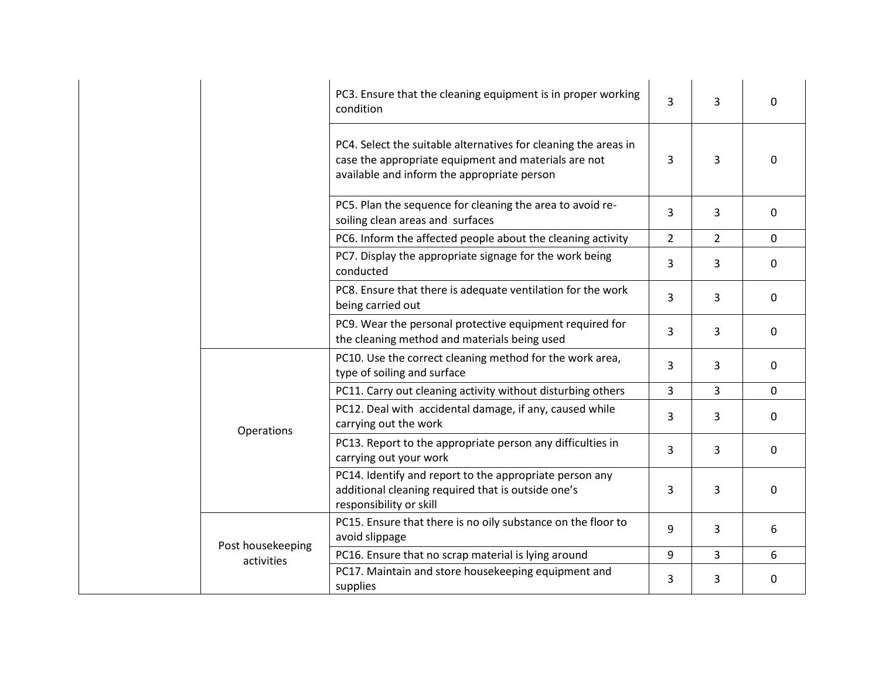|                   | PC3. Ensure that the cleaning equipment is in proper working<br>condition                                                                                              | 3              | 3              | $\Omega$     |
|-------------------|------------------------------------------------------------------------------------------------------------------------------------------------------------------------|----------------|----------------|--------------|
|                   | PC4. Select the suitable alternatives for cleaning the areas in<br>case the appropriate equipment and materials are not<br>available and inform the appropriate person | 3              | 3              | 0            |
|                   | PC5. Plan the sequence for cleaning the area to avoid re-<br>soiling clean areas and surfaces                                                                          | 3              | 3              | $\mathbf 0$  |
|                   | PC6. Inform the affected people about the cleaning activity                                                                                                            | $\overline{2}$ | $\overline{2}$ | $\mathbf 0$  |
|                   | PC7. Display the appropriate signage for the work being<br>conducted                                                                                                   | 3              | 3              | $\mathbf{0}$ |
|                   | PC8. Ensure that there is adequate ventilation for the work<br>being carried out                                                                                       | 3              | 3              | $\mathbf 0$  |
|                   | PC9. Wear the personal protective equipment required for<br>the cleaning method and materials being used                                                               | 3              | 3              | $\mathbf 0$  |
|                   | PC10. Use the correct cleaning method for the work area,<br>type of soiling and surface                                                                                | 3              | 3              | $\mathbf 0$  |
|                   | PC11. Carry out cleaning activity without disturbing others                                                                                                            | 3              | 3              | $\mathbf{0}$ |
| Operations        | PC12. Deal with accidental damage, if any, caused while<br>carrying out the work                                                                                       | 3              | 3              | $\mathbf{0}$ |
|                   | PC13. Report to the appropriate person any difficulties in<br>carrying out your work                                                                                   | 3              | 3              | $\mathbf 0$  |
|                   | PC14. Identify and report to the appropriate person any<br>additional cleaning required that is outside one's<br>responsibility or skill                               | 3              | 3              | $\Omega$     |
| Post housekeeping | PC15. Ensure that there is no oily substance on the floor to<br>avoid slippage                                                                                         | 9              | 3              | 6            |
| activities        | PC16. Ensure that no scrap material is lying around                                                                                                                    | 9              | 3              | 6            |
|                   | PC17. Maintain and store housekeeping equipment and<br>supplies                                                                                                        | 3              | 3              | $\mathbf 0$  |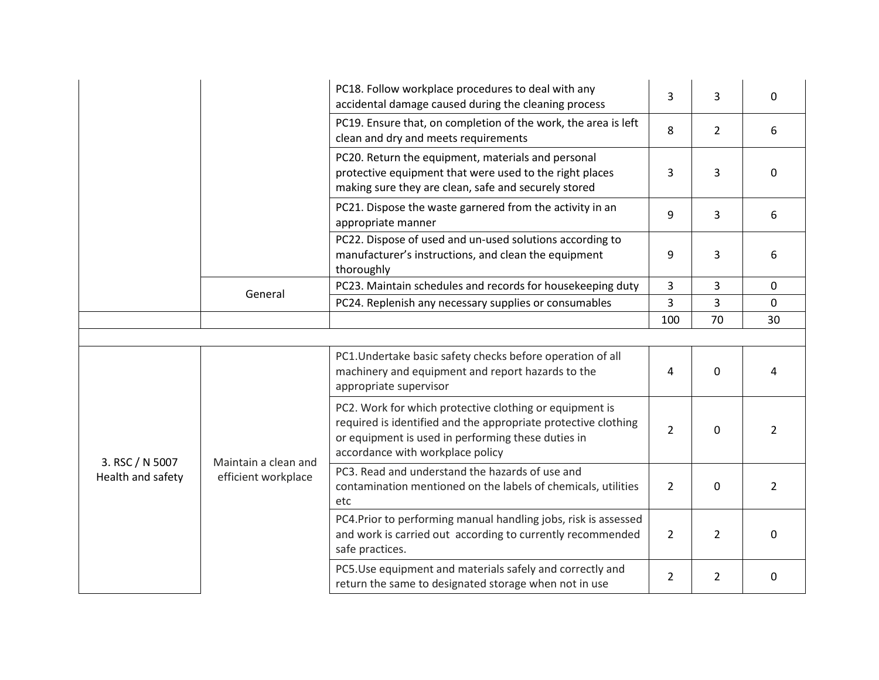|                                      |                                             | PC18. Follow workplace procedures to deal with any<br>accidental damage caused during the cleaning process                                                                                                          | 3              | 3              | $\Omega$       |
|--------------------------------------|---------------------------------------------|---------------------------------------------------------------------------------------------------------------------------------------------------------------------------------------------------------------------|----------------|----------------|----------------|
|                                      |                                             | PC19. Ensure that, on completion of the work, the area is left<br>clean and dry and meets requirements                                                                                                              | 8              | $\overline{2}$ | 6              |
|                                      |                                             | PC20. Return the equipment, materials and personal<br>protective equipment that were used to the right places<br>making sure they are clean, safe and securely stored                                               | 3              | 3              | $\Omega$       |
|                                      |                                             | PC21. Dispose the waste garnered from the activity in an<br>appropriate manner                                                                                                                                      | 9              | 3              | 6              |
|                                      |                                             | PC22. Dispose of used and un-used solutions according to<br>manufacturer's instructions, and clean the equipment<br>thoroughly                                                                                      | 9              | 3              | 6              |
|                                      | General                                     | PC23. Maintain schedules and records for housekeeping duty                                                                                                                                                          | 3              | 3              | $\Omega$       |
|                                      |                                             | PC24. Replenish any necessary supplies or consumables                                                                                                                                                               | 3              | 3              | $\Omega$       |
|                                      |                                             |                                                                                                                                                                                                                     | 100            | 70             | 30             |
|                                      |                                             |                                                                                                                                                                                                                     |                |                |                |
|                                      |                                             | PC1. Undertake basic safety checks before operation of all<br>machinery and equipment and report hazards to the<br>appropriate supervisor                                                                           | 4              | 0              | 4              |
| 3. RSC / N 5007<br>Health and safety | Maintain a clean and<br>efficient workplace | PC2. Work for which protective clothing or equipment is<br>required is identified and the appropriate protective clothing<br>or equipment is used in performing these duties in<br>accordance with workplace policy | $\overline{2}$ | 0              | 2              |
|                                      |                                             | PC3. Read and understand the hazards of use and<br>contamination mentioned on the labels of chemicals, utilities<br>etc                                                                                             | $\overline{2}$ | $\Omega$       | $\overline{2}$ |
|                                      |                                             | PC4. Prior to performing manual handling jobs, risk is assessed<br>and work is carried out according to currently recommended<br>safe practices.                                                                    | $\overline{2}$ | $\overline{2}$ | $\Omega$       |
|                                      |                                             | PC5.Use equipment and materials safely and correctly and<br>return the same to designated storage when not in use                                                                                                   | $\overline{2}$ | $\overline{2}$ | $\Omega$       |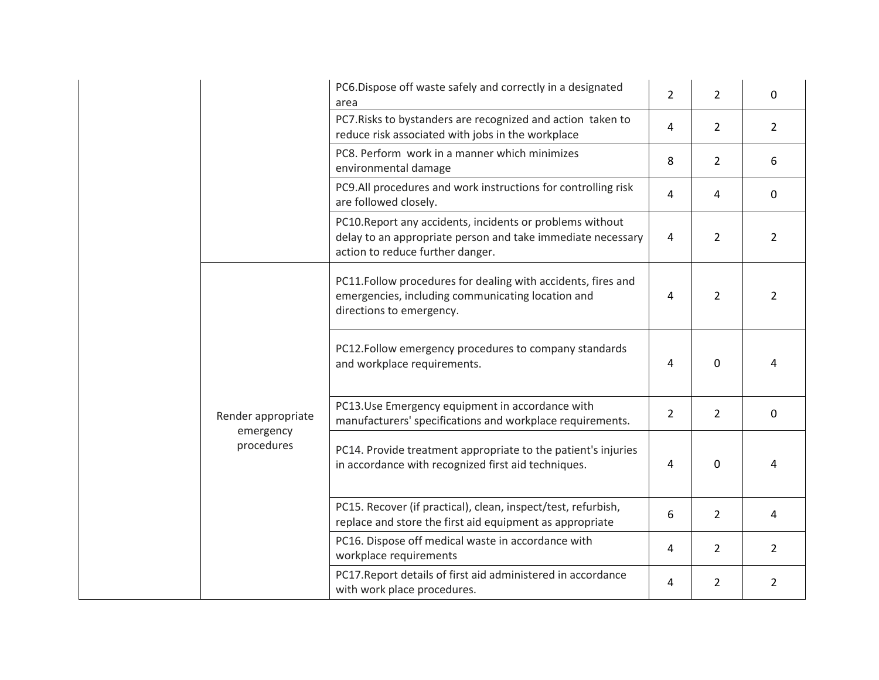|  |                                               | PC6.Dispose off waste safely and correctly in a designated<br>area                                                                                           | $\overline{2}$ | $\overline{2}$ | $\Omega$       |
|--|-----------------------------------------------|--------------------------------------------------------------------------------------------------------------------------------------------------------------|----------------|----------------|----------------|
|  |                                               | PC7. Risks to bystanders are recognized and action taken to<br>reduce risk associated with jobs in the workplace                                             | 4              | $\overline{2}$ | $\overline{2}$ |
|  |                                               | PC8. Perform work in a manner which minimizes<br>environmental damage                                                                                        | 8              | $\overline{2}$ | 6              |
|  |                                               | PC9.All procedures and work instructions for controlling risk<br>are followed closely.                                                                       | 4              | 4              | 0              |
|  |                                               | PC10. Report any accidents, incidents or problems without<br>delay to an appropriate person and take immediate necessary<br>action to reduce further danger. | $\overline{4}$ | $\overline{2}$ | $\overline{2}$ |
|  | Render appropriate<br>emergency<br>procedures | PC11.Follow procedures for dealing with accidents, fires and<br>emergencies, including communicating location and<br>directions to emergency.                | 4              | $\overline{2}$ | $\overline{2}$ |
|  |                                               | PC12.Follow emergency procedures to company standards<br>and workplace requirements.                                                                         | 4              | 0              | 4              |
|  |                                               | PC13.Use Emergency equipment in accordance with<br>manufacturers' specifications and workplace requirements.                                                 | $\overline{2}$ | $\overline{2}$ | $\mathbf 0$    |
|  |                                               | PC14. Provide treatment appropriate to the patient's injuries<br>in accordance with recognized first aid techniques.                                         | 4              | $\Omega$       | 4              |
|  |                                               | PC15. Recover (if practical), clean, inspect/test, refurbish,<br>replace and store the first aid equipment as appropriate                                    | 6              | $\overline{2}$ | 4              |
|  |                                               | PC16. Dispose off medical waste in accordance with<br>workplace requirements                                                                                 | 4              | $\overline{2}$ | $\overline{2}$ |
|  |                                               | PC17. Report details of first aid administered in accordance<br>with work place procedures.                                                                  | 4              | $\overline{2}$ | 2              |